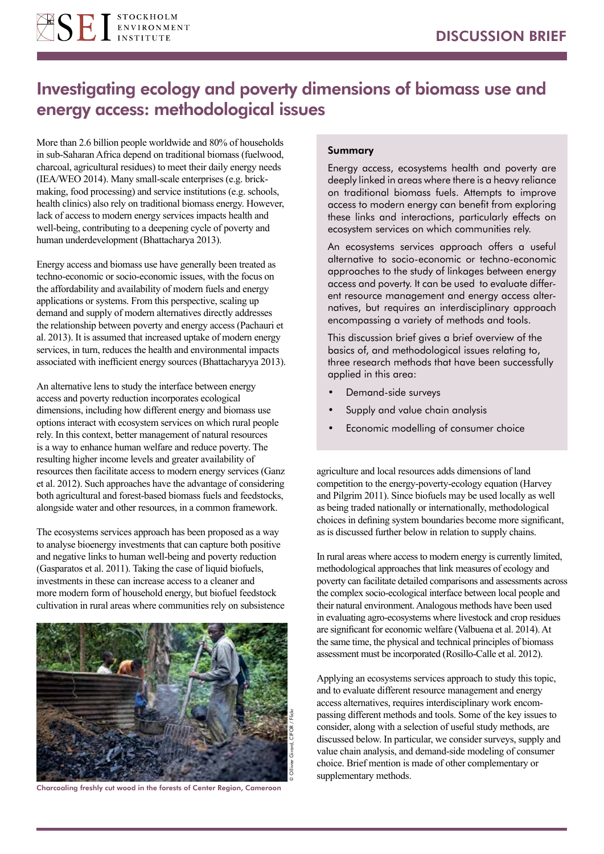

# Investigating ecology and poverty dimensions of biomass use and energy access: methodological issues

More than 2.6 billion people worldwide and 80% of households in sub-Saharan Africa depend on traditional biomass (fuelwood, charcoal, agricultural residues) to meet their daily energy needs (IEA/WEO 2014). Many small-scale enterprises (e.g. brickmaking, food processing) and service institutions (e.g. schools, health clinics) also rely on traditional biomass energy. However, lack of access to modern energy services impacts health and well-being, contributing to a deepening cycle of poverty and human underdevelopment (Bhattacharya 2013).

Energy access and biomass use have generally been treated as techno-economic or socio-economic issues, with the focus on the affordability and availability of modern fuels and energy applications or systems. From this perspective, scaling up demand and supply of modern alternatives directly addresses the relationship between poverty and energy access (Pachauri et al. 2013). It is assumed that increased uptake of modern energy services, in turn, reduces the health and environmental impacts associated with inefficient energy sources (Bhattacharyya 2013).

An alternative lens to study the interface between energy access and poverty reduction incorporates ecological dimensions, including how different energy and biomass use options interact with ecosystem services on which rural people rely. In this context, better management of natural resources is a way to enhance human welfare and reduce poverty. The resulting higher income levels and greater availability of resources then facilitate access to modern energy services (Ganz et al. 2012). Such approaches have the advantage of considering both agricultural and forest-based biomass fuels and feedstocks, alongside water and other resources, in a common framework.

The ecosystems services approach has been proposed as a way to analyse bioenergy investments that can capture both positive and negative links to human well-being and poverty reduction (Gasparatos et al. 2011). Taking the case of liquid biofuels, investments in these can increase access to a cleaner and more modern form of household energy, but biofuel feedstock cultivation in rural areas where communities rely on subsistence



Charcoaling freshly cut wood in the forests of Center Region, Cameroon

### Summary

Energy access, ecosystems health and poverty are deeply linked in areas where there is a heavy reliance on traditional biomass fuels. Attempts to improve access to modern energy can benefit from exploring these links and interactions, particularly effects on ecosystem services on which communities rely.

An ecosystems services approach offers a useful alternative to socio-economic or techno-economic approaches to the study of linkages between energy access and poverty. It can be used to evaluate different resource management and energy access alternatives, but requires an interdisciplinary approach encompassing a variety of methods and tools.

This discussion brief gives a brief overview of the basics of, and methodological issues relating to, three research methods that have been successfully applied in this area:

- Demand-side surveys
- Supply and value chain analysis
- Economic modelling of consumer choice

agriculture and local resources adds dimensions of land competition to the energy-poverty-ecology equation (Harvey and Pilgrim 2011). Since biofuels may be used locally as well as being traded nationally or internationally, methodological choices in defining system boundaries become more significant, as is discussed further below in relation to supply chains.

In rural areas where access to modern energy is currently limited, methodological approaches that link measures of ecology and poverty can facilitate detailed comparisons and assessments across the complex socio-ecological interface between local people and their natural environment. Analogous methods have been used in evaluating agro-ecosystems where livestock and crop residues are significant for economic welfare (Valbuena et al. 2014). At the same time, the physical and technical principles of biomass assessment must be incorporated (Rosillo-Calle et al. 2012).

Applying an ecosystems services approach to study this topic, and to evaluate different resource management and energy access alternatives, requires interdisciplinary work encompassing different methods and tools. Some of the key issues to consider, along with a selection of useful study methods, are discussed below. In particular, we consider surveys, supply and value chain analysis, and demand-side modeling of consumer choice. Brief mention is made of other complementary or supplementary methods.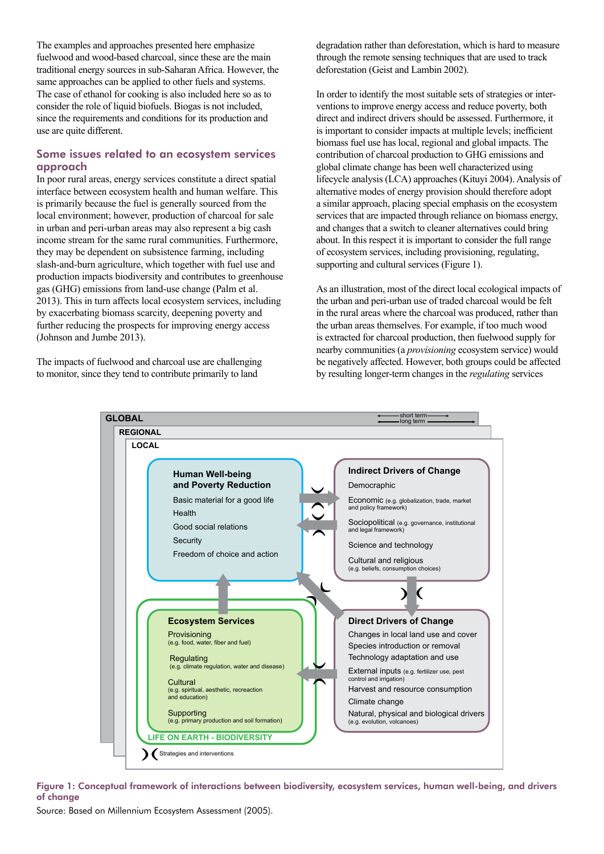The examples and approaches presented here emphasize fuelwood and wood-based charcoal, since these are the main traditional energy sources in sub-Saharan Africa. However, the same approaches can be applied to other fuels and systems. The case of ethanol for cooking is also included here so as to consider the role of liquid biofuels. Biogas is not included, since the requirements and conditions for its production and use are quite different.

## Some issues related to an ecosystem services approach

In poor rural areas, energy services constitute a direct spatial interface between ecosystem health and human welfare. This is primarily because the fuel is generally sourced from the local environment; however, production of charcoal for sale in urban and peri-urban areas may also represent a big cash income stream for the same rural communities. Furthermore, they may be dependent on subsistence farming, including slash-and-burn agriculture, which together with fuel use and production impacts biodiversity and contributes to greenhouse gas (GHG) emissions from land-use change (Palm et al. 2013). This in turn affects local ecosystem services, including by exacerbating biomass scarcity, deepening poverty and further reducing the prospects for improving energy access (Johnson and Jumbe 2013).

The impacts of fuelwood and charcoal use are challenging to monitor, since they tend to contribute primarily to land

degradation rather than deforestation, which is hard to measure through the remote sensing techniques that are used to track deforestation (Geist and Lambin 2002).

In order to identify the most suitable sets of strategies or interventions to improve energy access and reduce poverty, both direct and indirect drivers should be assessed. Furthermore, it is important to consider impacts at multiple levels; inefficient biomass fuel use has local, regional and global impacts. The contribution of charcoal production to GHG emissions and global climate change has been well characterized using lifecycle analysis (LCA) approaches (Kituyi 2004). Analysis of alternative modes of energy provision should therefore adopt a similar approach, placing special emphasis on the ecosystem services that are impacted through reliance on biomass energy, and changes that a switch to cleaner alternatives could bring about. In this respect it is important to consider the full range of ecosystem services, including provisioning, regulating, supporting and cultural services (Figure 1).

As an illustration, most of the direct local ecological impacts of the urban and peri-urban use of traded charcoal would be felt in the rural areas where the charcoal was produced, rather than the urban areas themselves. For example, if too much wood is extracted for charcoal production, then fuelwood supply for nearby communities (a *provisioning* ecosystem service) would be negatively affected. However, both groups could be affected by resulting longer-term changes in the *regulating* services



Figure 1: Conceptual framework of interactions between biodiversity, ecosystem services, human well-being, and drivers of change

Source: Based on Millennium Ecosystem Assessment (2005).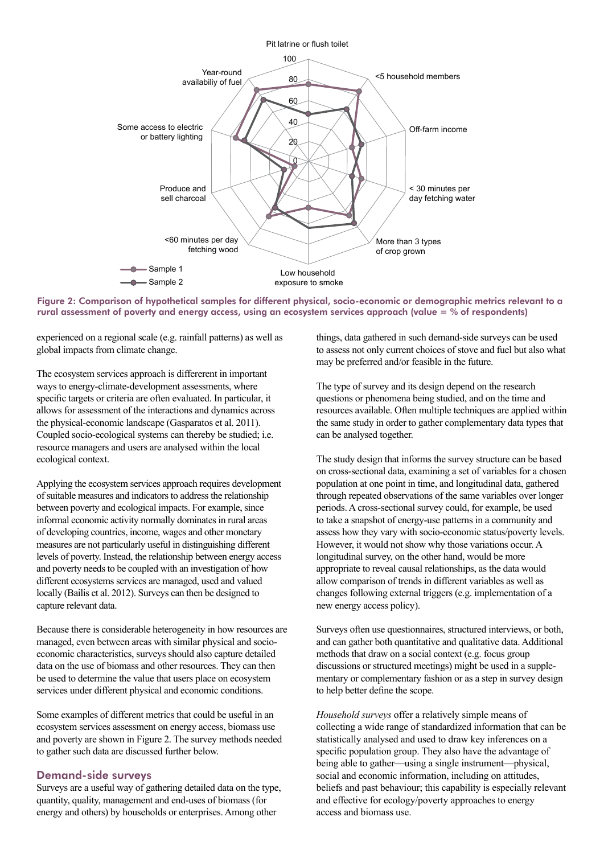

Figure 2: Comparison of hypothetical samples for different physical, socio-economic or demographic metrics relevant to a rural assessment of poverty and energy access, using an ecosystem services approach (value = % of respondents)

experienced on a regional scale (e.g. rainfall patterns) as well as global impacts from climate change.

The ecosystem services approach is differerent in important ways to energy-climate-development assessments, where specific targets or criteria are often evaluated. In particular, it allows for assessment of the interactions and dynamics across the physical-economic landscape (Gasparatos et al. 2011). Coupled socio-ecological systems can thereby be studied; i.e. resource managers and users are analysed within the local ecological context.

Applying the ecosystem services approach requires development of suitable measures and indicators to address the relationship between poverty and ecological impacts. For example, since informal economic activity normally dominates in rural areas of developing countries, income, wages and other monetary measures are not particularly useful in distinguishing different levels of poverty. Instead, the relationship between energy access and poverty needs to be coupled with an investigation of how different ecosystems services are managed, used and valued locally (Bailis et al. 2012). Surveys can then be designed to capture relevant data.

Because there is considerable heterogeneity in how resources are managed, even between areas with similar physical and socioeconomic characteristics, surveys should also capture detailed data on the use of biomass and other resources. They can then be used to determine the value that users place on ecosystem services under different physical and economic conditions.

Some examples of different metrics that could be useful in an ecosystem services assessment on energy access, biomass use and poverty are shown in Figure 2. The survey methods needed to gather such data are discussed further below.

## Demand-side surveys

Surveys are a useful way of gathering detailed data on the type, quantity, quality, management and end-uses of biomass (for energy and others) by households or enterprises. Among other

things, data gathered in such demand-side surveys can be used to assess not only current choices of stove and fuel but also what may be preferred and/or feasible in the future.

The type of survey and its design depend on the research questions or phenomena being studied, and on the time and resources available. Often multiple techniques are applied within the same study in order to gather complementary data types that can be analysed together.

The study design that informs the survey structure can be based on cross-sectional data, examining a set of variables for a chosen population at one point in time, and longitudinal data, gathered through repeated observations of the same variables over longer periods. A cross-sectional survey could, for example, be used to take a snapshot of energy-use patterns in a community and assess how they vary with socio-economic status/poverty levels. However, it would not show why those variations occur. A longitudinal survey, on the other hand, would be more appropriate to reveal causal relationships, as the data would allow comparison of trends in different variables as well as changes following external triggers (e.g. implementation of a new energy access policy).

Surveys often use questionnaires, structured interviews, or both, and can gather both quantitative and qualitative data. Additional methods that draw on a social context (e.g. focus group discussions or structured meetings) might be used in a supplementary or complementary fashion or as a step in survey design to help better define the scope.

*Household surveys* offer a relatively simple means of collecting a wide range of standardized information that can be statistically analysed and used to draw key inferences on a specific population group. They also have the advantage of being able to gather—using a single instrument—physical, social and economic information, including on attitudes, beliefs and past behaviour; this capability is especially relevant and effective for ecology/poverty approaches to energy access and biomass use.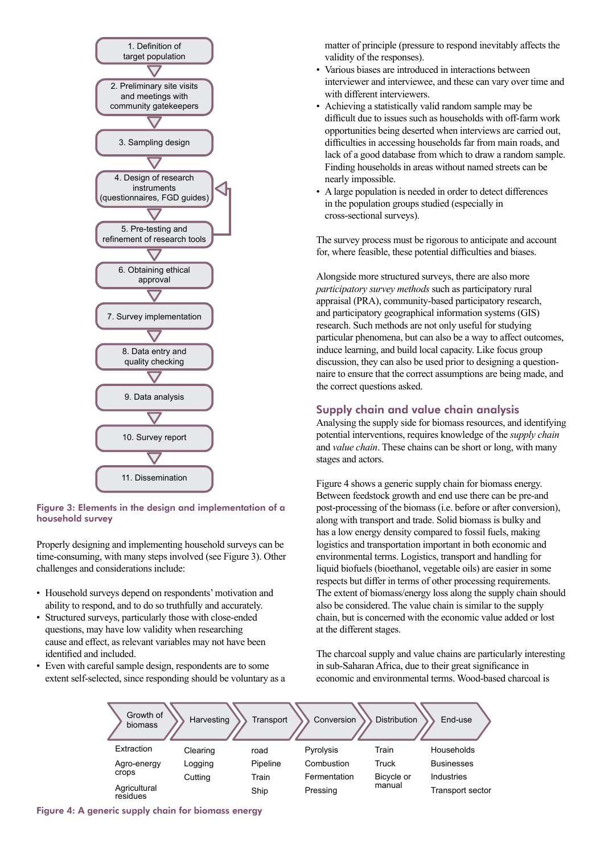

### Figure 3: Elements in the design and implementation of a household survey

Properly designing and implementing household surveys can be time-consuming, with many steps involved (see Figure 3). Other challenges and considerations include:

- Household surveys depend on respondents' motivation and ability to respond, and to do so truthfully and accurately.
- Structured surveys, particularly those with close-ended questions, may have low validity when researching cause and effect, as relevant variables may not have been identified and included.
- Even with careful sample design, respondents are to some extent self-selected, since responding should be voluntary as a

matter of principle (pressure to respond inevitably affects the validity of the responses).

- Various biases are introduced in interactions between interviewer and interviewee, and these can vary over time and with different interviewers.
- Achieving a statistically valid random sample may be difficult due to issues such as households with off-farm work opportunities being deserted when interviews are carried out, difficulties in accessing households far from main roads, and lack of a good database from which to draw a random sample. Finding households in areas without named streets can be nearly impossible.
- A large population is needed in order to detect differences in the population groups studied (especially in cross-sectional surveys).

The survey process must be rigorous to anticipate and account for, where feasible, these potential difficulties and biases.

Alongside more structured surveys, there are also more *participatory survey methods* such as participatory rural appraisal (PRA), community-based participatory research, and participatory geographical information systems (GIS) research. Such methods are not only useful for studying particular phenomena, but can also be a way to affect outcomes, induce learning, and build local capacity. Like focus group discussion, they can also be used prior to designing a questionnaire to ensure that the correct assumptions are being made, and the correct questions asked.

## Supply chain and value chain analysis

Analysing the supply side for biomass resources, and identifying potential interventions, requires knowledge of the *supply chain* and *value chain*. These chains can be short or long, with many stages and actors.

Figure 4 shows a generic supply chain for biomass energy. Between feedstock growth and end use there can be pre-and post-processing of the biomass (i.e. before or after conversion), along with transport and trade. Solid biomass is bulky and has a low energy density compared to fossil fuels, making logistics and transportation important in both economic and environmental terms. Logistics, transport and handling for liquid biofuels (bioethanol, vegetable oils) are easier in some respects but differ in terms of other processing requirements. The extent of biomass/energy loss along the supply chain should also be considered. The value chain is similar to the supply chain, but is concerned with the economic value added or lost at the different stages.

The charcoal supply and value chains are particularly interesting in sub-Saharan Africa, due to their great significance in economic and environmental terms. Wood-based charcoal is

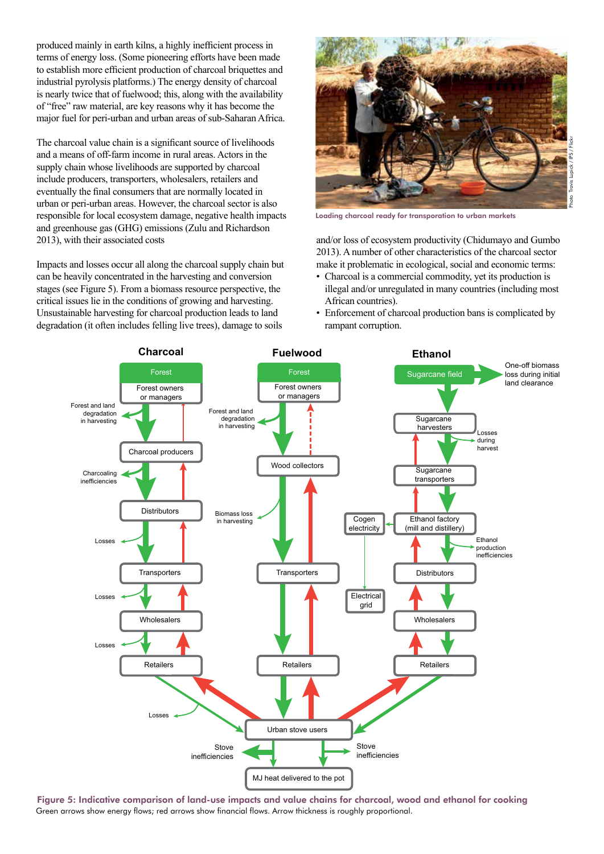produced mainly in earth kilns, a highly inefficient process in terms of energy loss. (Some pioneering efforts have been made to establish more efficient production of charcoal briquettes and industrial pyrolysis platforms.) The energy density of charcoal is nearly twice that of fuelwood; this, along with the availability of "free" raw material, are key reasons why it has become the major fuel for peri-urban and urban areas of sub-Saharan Africa.

The charcoal value chain is a significant source of livelihoods and a means of off-farm income in rural areas. Actors in the supply chain whose livelihoods are supported by charcoal include producers, transporters, wholesalers, retailers and eventually the final consumers that are normally located in urban or peri-urban areas. However, the charcoal sector is also responsible for local ecosystem damage, negative health impacts and greenhouse gas (GHG) emissions (Zulu and Richardson 2013), with their associated costs

Impacts and losses occur all along the charcoal supply chain but can be heavily concentrated in the harvesting and conversion stages (see Figure 5). From a biomass resource perspective, the critical issues lie in the conditions of growing and harvesting. Unsustainable harvesting for charcoal production leads to land degradation (it often includes felling live trees), damage to soils



Loading charcoal ready for transporation to urban markets

and/or loss of ecosystem productivity (Chidumayo and Gumbo 2013). A number of other characteristics of the charcoal sector make it problematic in ecological, social and economic terms:

- Charcoal is a commercial commodity, yet its production is illegal and/or unregulated in many countries (including most African countries).
- Enforcement of charcoal production bans is complicated by rampant corruption.



Figure 5: Indicative comparison of land-use impacts and value chains for charcoal, wood and ethanol for cooking Green arrows show energy flows; red arrows show financial flows. Arrow thickness is roughly proportional.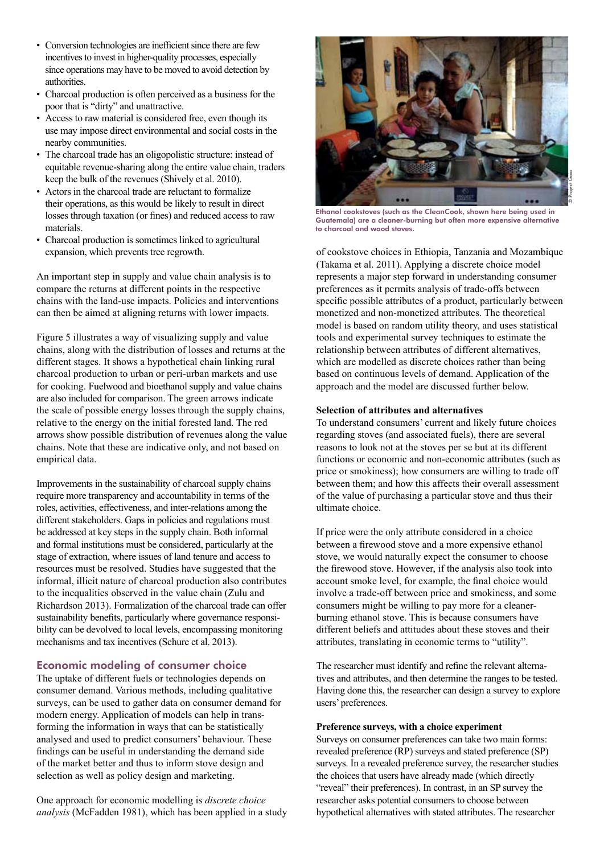- Conversion technologies are inefficient since there are few incentives to invest in higher-quality processes, especially since operations may have to be moved to avoid detection by authorities.
- Charcoal production is often perceived as a business for the poor that is "dirty" and unattractive.
- Access to raw material is considered free, even though its use may impose direct environmental and social costs in the nearby communities.
- The charcoal trade has an oligopolistic structure: instead of equitable revenue-sharing along the entire value chain, traders keep the bulk of the revenues (Shively et al. 2010).
- Actors in the charcoal trade are reluctant to formalize their operations, as this would be likely to result in direct losses through taxation (or fines) and reduced access to raw materials.
- Charcoal production is sometimes linked to agricultural expansion, which prevents tree regrowth.

An important step in supply and value chain analysis is to compare the returns at different points in the respective chains with the land-use impacts. Policies and interventions can then be aimed at aligning returns with lower impacts.

Figure 5 illustrates a way of visualizing supply and value chains, along with the distribution of losses and returns at the different stages. It shows a hypothetical chain linking rural charcoal production to urban or peri-urban markets and use for cooking. Fuelwood and bioethanol supply and value chains are also included for comparison. The green arrows indicate the scale of possible energy losses through the supply chains, relative to the energy on the initial forested land. The red arrows show possible distribution of revenues along the value chains. Note that these are indicative only, and not based on empirical data.

Improvements in the sustainability of charcoal supply chains require more transparency and accountability in terms of the roles, activities, effectiveness, and inter-relations among the different stakeholders. Gaps in policies and regulations must be addressed at key steps in the supply chain. Both informal and formal institutions must be considered, particularly at the stage of extraction, where issues of land tenure and access to resources must be resolved. Studies have suggested that the informal, illicit nature of charcoal production also contributes to the inequalities observed in the value chain (Zulu and Richardson 2013). Formalization of the charcoal trade can offer sustainability benefits, particularly where governance responsibility can be devolved to local levels, encompassing monitoring mechanisms and tax incentives (Schure et al. 2013).

## Economic modeling of consumer choice

The uptake of different fuels or technologies depends on consumer demand. Various methods, including qualitative surveys, can be used to gather data on consumer demand for modern energy. Application of models can help in transforming the information in ways that can be statistically analysed and used to predict consumers' behaviour. These findings can be useful in understanding the demand side of the market better and thus to inform stove design and selection as well as policy design and marketing.

One approach for economic modelling is *discrete choice analysis* (McFadden 1981), which has been applied in a study



Ethanol cookstoves (such as the CleanCook, shown here being used in Guatemala) are a cleaner-burning but often more expensive alternative to charcoal and wood stoves.

of cookstove choices in Ethiopia, Tanzania and Mozambique (Takama et al. 2011). Applying a discrete choice model represents a major step forward in understanding consumer preferences as it permits analysis of trade-offs between specific possible attributes of a product, particularly between monetized and non-monetized attributes. The theoretical model is based on random utility theory, and uses statistical tools and experimental survey techniques to estimate the relationship between attributes of different alternatives, which are modelled as discrete choices rather than being based on continuous levels of demand. Application of the approach and the model are discussed further below.

#### **Selection of attributes and alternatives**

To understand consumers' current and likely future choices regarding stoves (and associated fuels), there are several reasons to look not at the stoves per se but at its different functions or economic and non-economic attributes (such as price or smokiness); how consumers are willing to trade off between them; and how this affects their overall assessment of the value of purchasing a particular stove and thus their ultimate choice.

If price were the only attribute considered in a choice between a firewood stove and a more expensive ethanol stove, we would naturally expect the consumer to choose the firewood stove. However, if the analysis also took into account smoke level, for example, the final choice would involve a trade-off between price and smokiness, and some consumers might be willing to pay more for a cleanerburning ethanol stove. This is because consumers have different beliefs and attitudes about these stoves and their attributes, translating in economic terms to "utility".

The researcher must identify and refine the relevant alternatives and attributes, and then determine the ranges to be tested. Having done this, the researcher can design a survey to explore users' preferences.

#### **Preference surveys, with a choice experiment**

Surveys on consumer preferences can take two main forms: revealed preference (RP) surveys and stated preference (SP) surveys. In a revealed preference survey, the researcher studies the choices that users have already made (which directly "reveal" their preferences). In contrast, in an SP survey the researcher asks potential consumers to choose between hypothetical alternatives with stated attributes. The researcher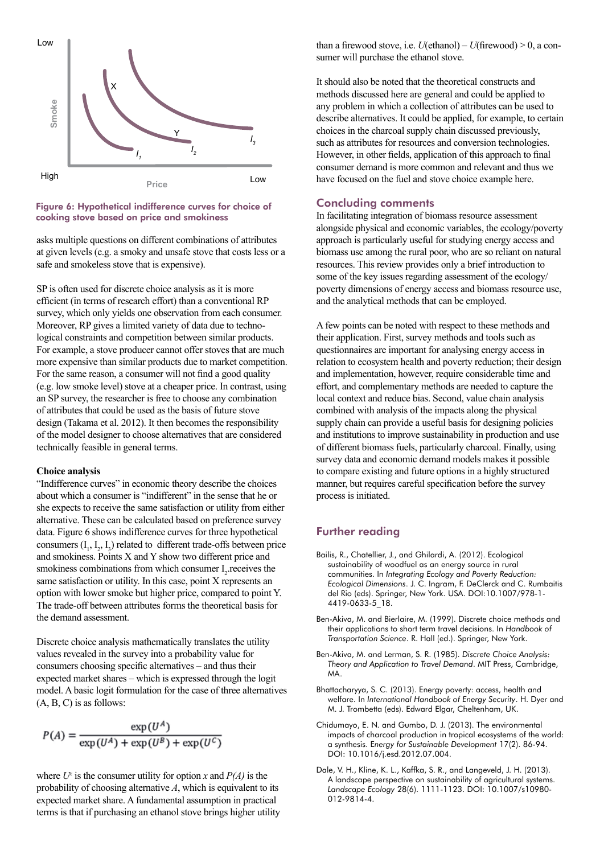

#### Figure 6: Hypothetical indifference curves for choice of cooking stove based on price and smokiness

asks multiple questions on different combinations of attributes at given levels (e.g. a smoky and unsafe stove that costs less or a safe and smokeless stove that is expensive).

SP is often used for discrete choice analysis as it is more efficient (in terms of research effort) than a conventional RP survey, which only yields one observation from each consumer. Moreover, RP gives a limited variety of data due to technological constraints and competition between similar products. For example, a stove producer cannot offer stoves that are much more expensive than similar products due to market competition. For the same reason, a consumer will not find a good quality (e.g. low smoke level) stove at a cheaper price. In contrast, using an SP survey, the researcher is free to choose any combination of attributes that could be used as the basis of future stove design (Takama et al. 2012). It then becomes the responsibility of the model designer to choose alternatives that are considered technically feasible in general terms.

#### **Choice analysis**

"Indifference curves" in economic theory describe the choices about which a consumer is "indifferent" in the sense that he or she expects to receive the same satisfaction or utility from either alternative. These can be calculated based on preference survey data. Figure 6 shows indifference curves for three hypothetical consumers  $(I_1, I_2, I_3)$  related to different trade-offs between price and smokiness. Points X and Y show two different price and smokiness combinations from which consumer  $I_2$  receives the same satisfaction or utility. In this case, point X represents an option with lower smoke but higher price, compared to point Y. The trade-off between attributes forms the theoretical basis for the demand assessment.

Discrete choice analysis mathematically translates the utility values revealed in the survey into a probability value for consumers choosing specific alternatives – and thus their expected market shares – which is expressed through the logit model. A basic logit formulation for the case of three alternatives  $(A, B, C)$  is as follows:

$$
P(A) = \frac{\exp(U^A)}{\exp(U^A) + \exp(U^B) + \exp(U^C)}
$$

where  $U^x$  is the consumer utility for option *x* and  $P(A)$  is the probability of choosing alternative *A*, which is equivalent to its expected market share. A fundamental assumption in practical terms is that if purchasing an ethanol stove brings higher utility than a firewood stove, i.e. *U*(ethanol) – *U*(firewood) > 0, a consumer will purchase the ethanol stove.

It should also be noted that the theoretical constructs and methods discussed here are general and could be applied to any problem in which a collection of attributes can be used to describe alternatives. It could be applied, for example, to certain choices in the charcoal supply chain discussed previously, such as attributes for resources and conversion technologies. However, in other fields, application of this approach to final consumer demand is more common and relevant and thus we have focused on the fuel and stove choice example here.

#### Concluding comments

In facilitating integration of biomass resource assessment alongside physical and economic variables, the ecology/poverty approach is particularly useful for studying energy access and biomass use among the rural poor, who are so reliant on natural resources. This review provides only a brief introduction to some of the key issues regarding assessment of the ecology/ poverty dimensions of energy access and biomass resource use, and the analytical methods that can be employed.

A few points can be noted with respect to these methods and their application. First, survey methods and tools such as questionnaires are important for analysing energy access in relation to ecosystem health and poverty reduction; their design and implementation, however, require considerable time and effort, and complementary methods are needed to capture the local context and reduce bias. Second, value chain analysis combined with analysis of the impacts along the physical supply chain can provide a useful basis for designing policies and institutions to improve sustainability in production and use of different biomass fuels, particularly charcoal. Finally, using survey data and economic demand models makes it possible to compare existing and future options in a highly structured manner, but requires careful specification before the survey process is initiated.

## Further reading

- Bailis, R., Chatellier, J., and Ghilardi, A. (2012). Ecological sustainability of woodfuel as an energy source in rural communities. In *Integrating Ecology and Poverty Reduction: Ecological Dimensions*. J. C. Ingram, F. DeClerck and C. Rumbaitis del Rio (eds). Springer, New York. USA. DOI:10.1007/978-1- 4419-0633-5\_18.
- Ben-Akiva, M. and Bierlaire, M. (1999). Discrete choice methods and their applications to short term travel decisions. In *Handbook of Transportation Science*. R. Hall (ed.). Springer, New York.
- Ben-Akiva, M. and Lerman, S. R. (1985). *Discrete Choice Analysis: Theory and Application to Travel Demand*. MIT Press, Cambridge, MA.
- Bhattacharyya, S. C. (2013). Energy poverty: access, health and welfare. In *International Handbook of Energy Security*. H. Dyer and M. J. Trombetta (eds). Edward Elgar, Cheltenham, UK.
- Chidumayo, E. N. and Gumbo, D. J. (2013). The environmental impacts of charcoal production in tropical ecosystems of the world: a synthesis. E*nergy for Sustainable Development* 17(2). 86-94. DOI: 10.1016/j.esd.2012.07.004.
- Dale, V. H., Kline, K. L., Kaffka, S. R., and Langeveld, J. H. (2013). A landscape perspective on sustainability of agricultural systems. *Landscape Ecology* 28(6). 1111-1123. DOI: 10.1007/s10980- 012-9814-4.